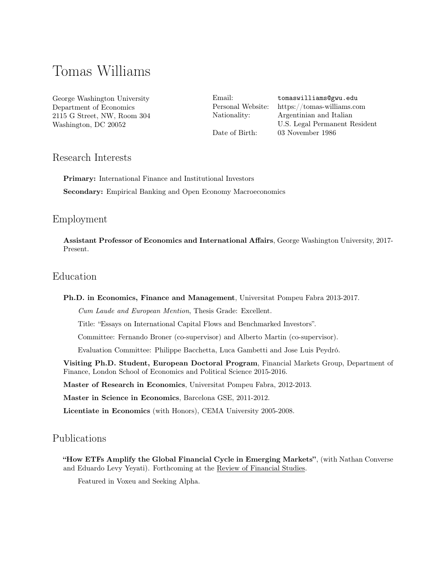# Tomas Williams

George Washington University Department of Economics 2115 G Street, NW, Room 304 Washington, DC 20052

Email: [tomaswilliams@gwu.edu](mailto:tomaswilliams@gwu.edu) Personal Website: <https://tomas-williams.com> Nationality: Argentinian and Italian U.S. Legal Permanent Resident Date of Birth: 03 November 1986

# Research Interests

Primary: International Finance and Institutional Investors Secondary: Empirical Banking and Open Economy Macroeconomics

### Employment

Assistant Professor of Economics and International Affairs, George Washington University, 2017- Present.

# Education

#### Ph.D. in Economics, Finance and Management, Universitat Pompeu Fabra 2013-2017.

Cum Laude and European Mention, Thesis Grade: Excellent.

Title: "Essays on International Capital Flows and Benchmarked Investors".

Committee: Fernando Broner (co-supervisor) and Alberto Martin (co-supervisor).

Evaluation Committee: Philippe Bacchetta, Luca Gambetti and Jose Luis Peydró.

Visiting Ph.D. Student, European Doctoral Program, Financial Markets Group, Department of Finance, London School of Economics and Political Science 2015-2016.

Master of Research in Economics, Universitat Pompeu Fabra, 2012-2013.

Master in Science in Economics, Barcelona GSE, 2011-2012.

Licentiate in Economics (with Honors), CEMA University 2005-2008.

# Publications

"How ETFs Amplify the Global Financial Cycle in Emerging Markets" , (with Nathan Converse and Eduardo Levy Yeyati). Forthcoming at the Review of Financial Studies.

Featured in Voxeu and Seeking Alpha.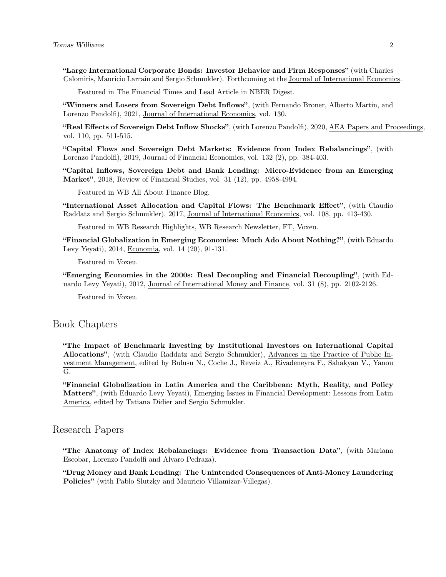"Large International Corporate Bonds: Investor Behavior and Firm Responses" (with Charles Calomiris, Mauricio Larrain and Sergio Schmukler). Forthcoming at the Journal of International Economics.

Featured in The Financial Times and Lead Article in NBER Digest.

"Winners and Losers from Sovereign Debt Inflows" , (with Fernando Broner, Alberto Martin, and Lorenzo Pandolfi), 2021, Journal of International Economics, vol. 130.

"Real Effects of Sovereign Debt Inflow Shocks", (with Lorenzo Pandolfi), 2020, AEA Papers and Proceedings, vol. 110, pp. 511-515.

"Capital Flows and Sovereign Debt Markets: Evidence from Index Rebalancings" , (with Lorenzo Pandolfi), 2019, Journal of Financial Economics, vol. 132 (2), pp. 384-403.

"Capital Inflows, Sovereign Debt and Bank Lending: Micro-Evidence from an Emerging Market", 2018, Review of Financial Studies, vol. 31 (12), pp. 4958-4994.

Featured in WB All About Finance Blog.

"International Asset Allocation and Capital Flows: The Benchmark Effect" , (with Claudio Raddatz and Sergio Schmukler), 2017, Journal of International Economics, vol. 108, pp. 413-430.

Featured in WB Research Highlights, WB Research Newsletter, FT, Voxeu.

"Financial Globalization in Emerging Economies: Much Ado About Nothing?" , (with Eduardo Levy Yeyati), 2014, Economia, vol. 14 (20), 91-131.

Featured in Voxeu.

"Emerging Economies in the 2000s: Real Decoupling and Financial Recoupling" , (with Eduardo Levy Yeyati), 2012, Journal of International Money and Finance, vol. 31 (8), pp. 2102-2126.

Featured in Voxeu.

### Book Chapters

"The Impact of Benchmark Investing by Institutional Investors on International Capital Allocations", (with Claudio Raddatz and Sergio Schmukler), Advances in the Practice of Public Investment Management, edited by Bulusu N., Coche J., Reveiz A., Rivadeneyra F., Sahakyan V., Yanou G.

"Financial Globalization in Latin America and the Caribbean: Myth, Reality, and Policy Matters", (with Eduardo Levy Yeyati), Emerging Issues in Financial Development: Lessons from Latin America, edited by Tatiana Didier and Sergio Schmukler.

### Research Papers

"The Anatomy of Index Rebalancings: Evidence from Transaction Data" , (with Mariana Escobar, Lorenzo Pandolfi and Alvaro Pedraza).

"Drug Money and Bank Lending: The Unintended Consequences of Anti-Money Laundering Policies" (with Pablo Slutzky and Mauricio Villamizar-Villegas).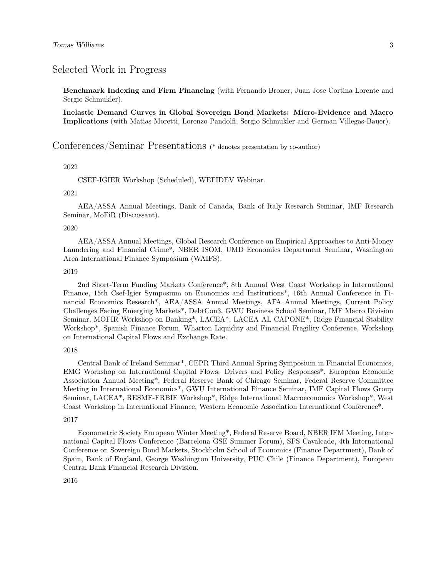### Selected Work in Progress

Benchmark Indexing and Firm Financing (with Fernando Broner, Juan Jose Cortina Lorente and Sergio Schmukler).

Inelastic Demand Curves in Global Sovereign Bond Markets: Micro-Evidence and Macro Implications (with Matias Moretti, Lorenzo Pandolfi, Sergio Schmukler and German Villegas-Bauer).

# Conferences/Seminar Presentations (\* denotes presentation by co-author)

#### 2022

CSEF-IGIER Workshop (Scheduled), WEFIDEV Webinar.

#### 2021

AEA/ASSA Annual Meetings, Bank of Canada, Bank of Italy Research Seminar, IMF Research Seminar, MoFiR (Discussant).

#### 2020

AEA/ASSA Annual Meetings, Global Research Conference on Empirical Approaches to Anti-Money Laundering and Financial Crime\*, NBER ISOM, UMD Economics Department Seminar, Washington Area International Finance Symposium (WAIFS).

#### 2019

2nd Short-Term Funding Markets Conference\*, 8th Annual West Coast Workshop in International Finance, 15th Csef-Igier Symposium on Economics and Institutions\*, 16th Annual Conference in Financial Economics Research\*, AEA/ASSA Annual Meetings, AFA Annual Meetings, Current Policy Challenges Facing Emerging Markets\*, DebtCon3, GWU Business School Seminar, IMF Macro Division Seminar, MOFIR Workshop on Banking\*, LACEA\*, LACEA AL CAPONE\*, Ridge Financial Stability Workshop\*, Spanish Finance Forum, Wharton Liquidity and Financial Fragility Conference, Workshop on International Capital Flows and Exchange Rate.

#### 2018

Central Bank of Ireland Seminar\*, CEPR Third Annual Spring Symposium in Financial Economics, EMG Workshop on International Capital Flows: Drivers and Policy Responses\*, European Economic Association Annual Meeting\*, Federal Reserve Bank of Chicago Seminar, Federal Reserve Committee Meeting in International Economics\*, GWU International Finance Seminar, IMF Capital Flows Group Seminar, LACEA\*, RESMF-FRBIF Workshop\*, Ridge International Macroeconomics Workshop\*, West Coast Workshop in International Finance, Western Economic Association International Conference\*.

#### 2017

Econometric Society European Winter Meeting\*, Federal Reserve Board, NBER IFM Meeting, International Capital Flows Conference (Barcelona GSE Summer Forum), SFS Cavalcade, 4th International Conference on Sovereign Bond Markets, Stockholm School of Economics (Finance Department), Bank of Spain, Bank of England, George Washington University, PUC Chile (Finance Department), European Central Bank Financial Research Division.

2016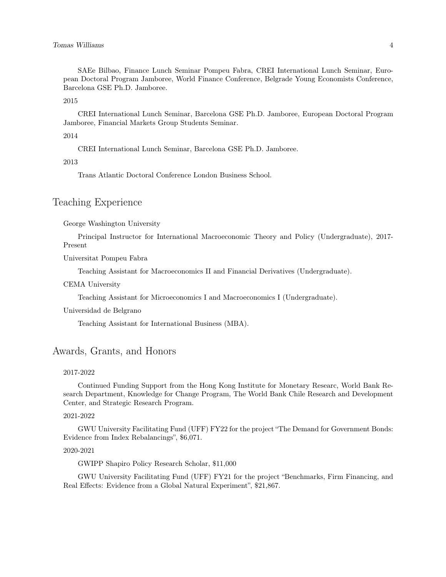SAEe Bilbao, Finance Lunch Seminar Pompeu Fabra, CREI International Lunch Seminar, European Doctoral Program Jamboree, World Finance Conference, Belgrade Young Economists Conference, Barcelona GSE Ph.D. Jamboree.

2015

CREI International Lunch Seminar, Barcelona GSE Ph.D. Jamboree, European Doctoral Program Jamboree, Financial Markets Group Students Seminar.

2014

CREI International Lunch Seminar, Barcelona GSE Ph.D. Jamboree.

2013

Trans Atlantic Doctoral Conference London Business School.

# Teaching Experience

George Washington University

Principal Instructor for International Macroeconomic Theory and Policy (Undergraduate), 2017- Present

Universitat Pompeu Fabra

Teaching Assistant for Macroeconomics II and Financial Derivatives (Undergraduate).

#### CEMA University

Teaching Assistant for Microeconomics I and Macroeconomics I (Undergraduate).

Universidad de Belgrano

Teaching Assistant for International Business (MBA).

### Awards, Grants, and Honors

#### 2017-2022

Continued Funding Support from the Hong Kong Institute for Monetary Researc, World Bank Research Department, Knowledge for Change Program, The World Bank Chile Research and Development Center, and Strategic Research Program.

#### 2021-2022

GWU University Facilitating Fund (UFF) FY22 for the project "The Demand for Government Bonds: Evidence from Index Rebalancings", \$6,071.

#### 2020-2021

GWIPP Shapiro Policy Research Scholar, \$11,000

GWU University Facilitating Fund (UFF) FY21 for the project "Benchmarks, Firm Financing, and Real Effects: Evidence from a Global Natural Experiment", \$21,867.